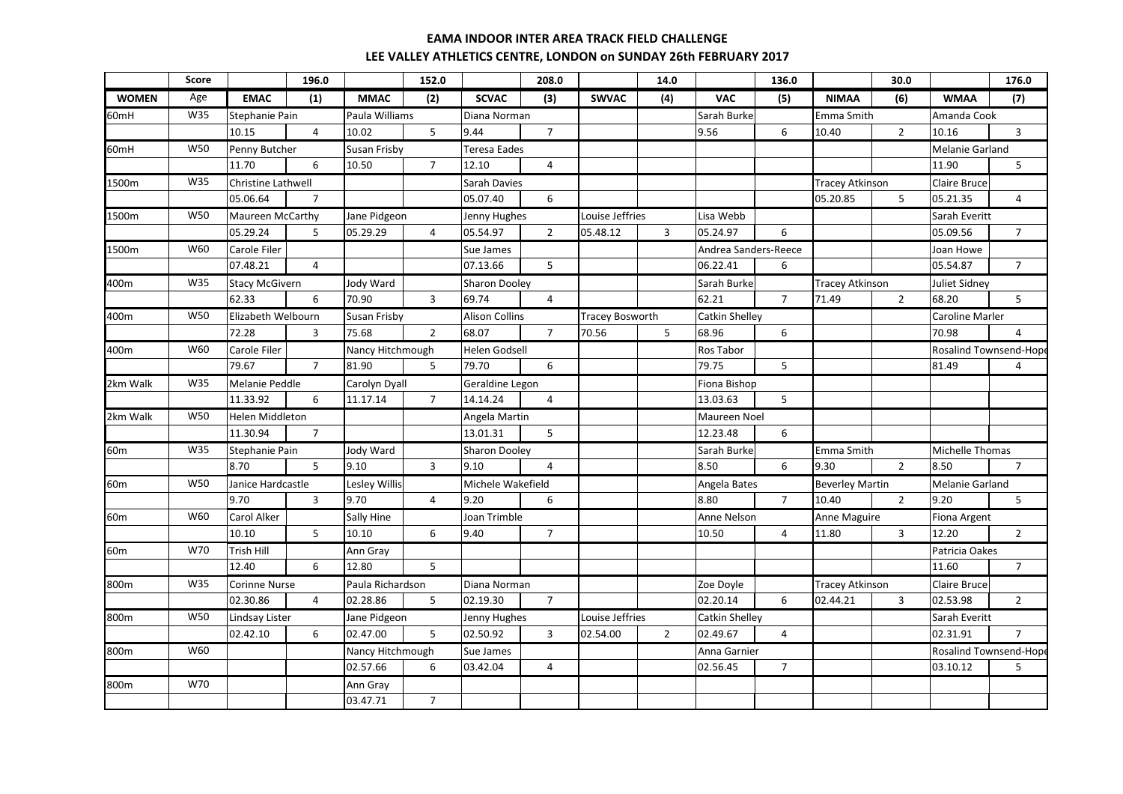|                  | <b>Score</b> |                        | 196.0          |                     | 152.0          |                       | 208.0          |                        | 14.0           |                       | 136.0          |                        | 30.0                                    |                        | 176.0                  |
|------------------|--------------|------------------------|----------------|---------------------|----------------|-----------------------|----------------|------------------------|----------------|-----------------------|----------------|------------------------|-----------------------------------------|------------------------|------------------------|
| <b>WOMEN</b>     | Age          | <b>EMAC</b>            | (1)            | <b>MMAC</b>         | (2)            | <b>SCVAC</b>          | (3)            | <b>SWVAC</b>           | (4)            | <b>VAC</b>            | (5)            | <b>NIMAA</b>           | (6)                                     | <b>WMAA</b>            | (7)                    |
| 60mH             | W35          | Stephanie Pain         |                | Paula Williams      |                | Diana Norman          |                |                        |                | Sarah Burke           |                | Emma Smith             |                                         | Amanda Cook            |                        |
|                  |              | 10.15                  | $\overline{4}$ | 10.02               | 5              | 9.44                  | $\overline{7}$ |                        |                | 9.56                  | 6              | 10.40                  | $\overline{2}$                          | 10.16                  | $\overline{3}$         |
| 60 <sub>mH</sub> | <b>W50</b>   | Penny Butcher          |                | Susan Frisby        |                | Teresa Eades          |                |                        |                |                       |                |                        |                                         | Melanie Garland        |                        |
|                  |              | 11.70                  | 6              | 10.50               | $\overline{7}$ | 12.10                 | $\overline{4}$ |                        |                |                       |                |                        |                                         | 11.90                  | 5                      |
| 1500m            | W35          | Christine Lathwell     |                |                     |                | Sarah Davies          |                |                        |                |                       |                | <b>Tracey Atkinson</b> |                                         | Claire Bruce           |                        |
|                  |              | 05.06.64               | $\overline{7}$ |                     |                | 05.07.40              | 6              |                        |                |                       |                | 05.20.85               | 5                                       | 05.21.35               | 4                      |
| 1500m            | <b>W50</b>   | Maureen McCarthy       |                | Jane Pidgeon        |                | Jenny Hughes          |                | Louise Jeffries        |                | Lisa Webb             |                |                        |                                         | Sarah Everitt          |                        |
|                  |              | 05.29.24               | 5              | 05.29.29            | $\overline{4}$ | 05.54.97              | $\overline{2}$ | 05.48.12               | 3              | 05.24.97              | 6              |                        |                                         | 05.09.56               | $\overline{7}$         |
| 1500m            | W60          | Carole Filer           |                |                     |                | Sue James             |                |                        |                | Andrea Sanders-Reece  |                |                        |                                         | Joan Howe              |                        |
|                  |              | 07.48.21               | $\overline{4}$ |                     |                | 07.13.66              | 5              |                        |                | 06.22.41              | 6              |                        |                                         | 05.54.87               | $\overline{7}$         |
| 400m             | W35          | <b>Stacy McGivern</b>  |                | Jody Ward           |                | <b>Sharon Dooley</b>  |                |                        |                | Sarah Burke           |                |                        | <b>Tracey Atkinson</b><br>Juliet Sidney |                        |                        |
|                  |              | 62.33                  | 6              | 70.90               | $\overline{3}$ | 69.74                 | $\overline{4}$ |                        |                | 62.21                 | $\overline{7}$ | 71.49                  | $\overline{2}$                          | 68.20                  | 5                      |
| 400m             | <b>W50</b>   | Elizabeth Welbourn     |                | <b>Susan Frisby</b> |                | <b>Alison Collins</b> |                | <b>Tracey Bosworth</b> |                | <b>Catkin Shelley</b> |                |                        |                                         | <b>Caroline Marler</b> |                        |
|                  |              | 72.28                  | 3              | 75.68               | $\overline{2}$ | 68.07                 | $\overline{7}$ | 70.56                  | 5              | 68.96                 | 6              |                        |                                         | 70.98                  | 4                      |
| 400m             | W60          | Carole Filer           |                | Nancy Hitchmough    |                | <b>Helen Godsell</b>  |                |                        |                | <b>Ros Tabor</b>      |                |                        |                                         |                        | Rosalind Townsend-Hope |
|                  |              | 79.67                  | $\overline{7}$ | 81.90               | 5              | 79.70                 | 6              |                        |                | 79.75                 | 5              |                        |                                         | 81.49                  | 4                      |
| 2km Walk         | W35          | Melanie Peddle         |                | Carolyn Dyall       |                | Geraldine Legon       |                |                        |                | Fiona Bishop          |                |                        |                                         |                        |                        |
|                  |              | 11.33.92               | 6              | 11.17.14            | $\overline{7}$ | 14.14.24              | $\overline{4}$ |                        |                | 13.03.63              | 5              |                        |                                         |                        |                        |
| 2km Walk         | W50          | <b>Helen Middleton</b> |                |                     |                | Angela Martin         |                |                        |                | Maureen Noel          |                |                        |                                         |                        |                        |
|                  |              | 11.30.94               | $\overline{7}$ |                     |                | 13.01.31              | 5              |                        |                | 12.23.48              | 6              |                        |                                         |                        |                        |
| 60 <sub>m</sub>  | W35          | <b>Stephanie Pain</b>  |                | Jody Ward           |                | <b>Sharon Dooley</b>  |                |                        |                | Sarah Burke           |                | Emma Smith             |                                         | Michelle Thomas        |                        |
|                  |              | 8.70                   | $\overline{5}$ | 9.10                | $\mathbf{3}$   | 9.10                  | $\overline{4}$ |                        |                | 8.50                  | 6              | 9.30                   | $\overline{2}$                          | 8.50                   | $\overline{7}$         |
| 60 <sub>m</sub>  | <b>W50</b>   | Janice Hardcastle      |                | Lesley Willis       |                | Michele Wakefield     |                |                        |                | Angela Bates          |                | <b>Beverley Martin</b> |                                         | Melanie Garland        |                        |
|                  |              | 9.70                   | $\mathbf{3}$   | 9.70                | $\overline{4}$ | 9.20                  | 6              |                        |                | 8.80                  | $\overline{7}$ | 10.40                  | $\overline{2}$                          | 9.20                   | 5                      |
| 60 <sub>m</sub>  | W60          | <b>Carol Alker</b>     |                | Sally Hine          |                | Joan Trimble          |                |                        |                | <b>Anne Nelson</b>    |                | <b>Anne Maguire</b>    |                                         | Fiona Argent           |                        |
|                  |              | 10.10                  | 5 <sup>1</sup> | 10.10               | 6              | 9.40                  | $\overline{7}$ |                        |                | 10.50                 | $\overline{4}$ | 11.80                  | $\overline{3}$                          | 12.20                  | $\overline{2}$         |
| 60 <sub>m</sub>  | W70          | Trish Hill             |                | Ann Gray            |                |                       |                |                        |                |                       |                |                        |                                         | Patricia Oakes         |                        |
|                  |              | 12.40                  | 6              | 12.80               | 5              |                       |                |                        |                |                       |                |                        |                                         | 11.60                  | $\overline{7}$         |
| 800m             | W35          | <b>Corinne Nurse</b>   |                | Paula Richardson    |                | Diana Norman          |                |                        |                | Zoe Doyle             |                | <b>Tracey Atkinson</b> |                                         | Claire Bruce           |                        |
|                  |              | 02.30.86               | $\overline{4}$ | 02.28.86            | 5              | 02.19.30              | $\overline{7}$ |                        |                | 02.20.14              | 6              | 02.44.21               | 3                                       | 02.53.98               | $\overline{2}$         |
| 800m             | <b>W50</b>   | <b>Lindsay Lister</b>  |                | Jane Pidgeon        |                | Jenny Hughes          |                | Louise Jeffries        |                | Catkin Shelley        |                |                        |                                         | Sarah Everitt          |                        |
|                  |              | 02.42.10               | 6              | 02.47.00            | 5              | 02.50.92              | 3              | 02.54.00               | $\overline{2}$ | 02.49.67              | $\overline{4}$ |                        |                                         | 02.31.91               | $\overline{7}$         |
| 800m             | W60          |                        |                | Nancy Hitchmough    |                | Sue James             |                |                        |                | Anna Garnier          |                |                        |                                         | Rosalind Townsend-Hop  |                        |
|                  |              |                        |                | 02.57.66            | 6              | 03.42.04              | $\overline{4}$ |                        |                | 02.56.45              | $7^{\circ}$    |                        |                                         | 03.10.12               | 5                      |
| 800m             | W70          |                        |                | Ann Gray            |                |                       |                |                        |                |                       |                |                        |                                         |                        |                        |
|                  |              |                        |                | 03.47.71            | $\overline{7}$ |                       |                |                        |                |                       |                |                        |                                         |                        |                        |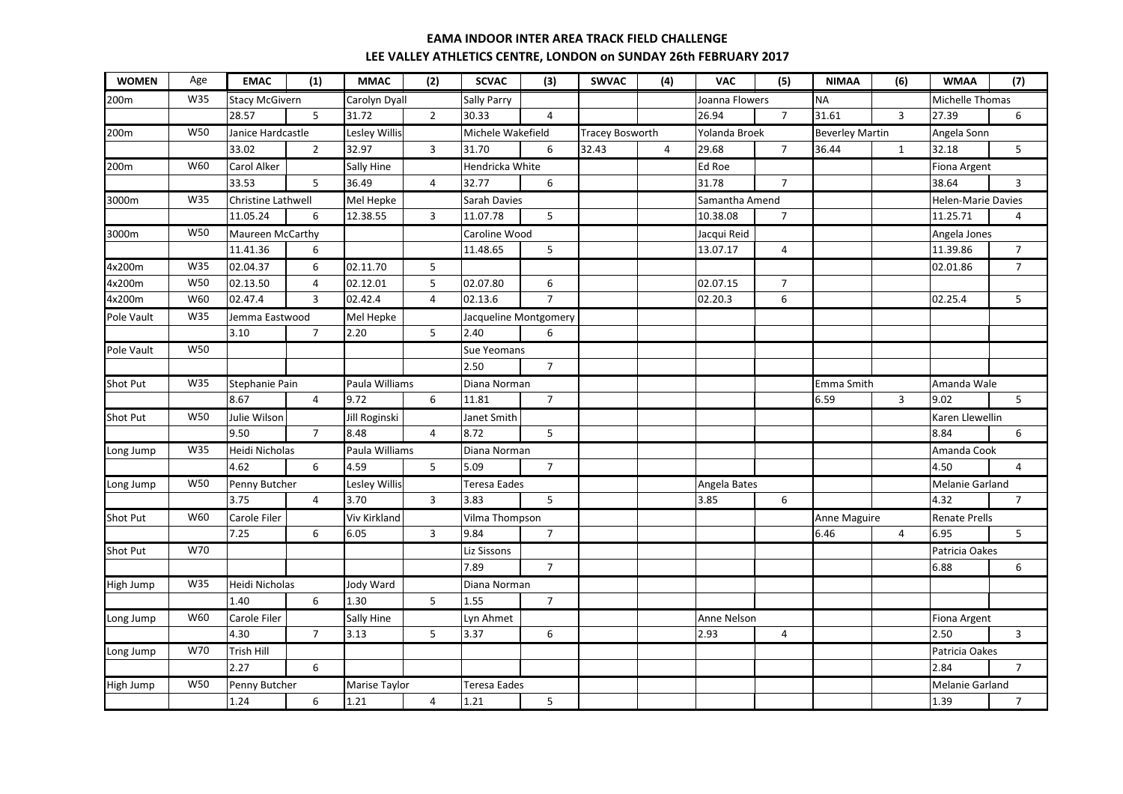| <b>WOMEN</b>    | Age        | <b>EMAC</b>           | (1)            | <b>MMAC</b>       | (2)            | <b>SCVAC</b>          | (3)            | <b>SWVAC</b>           | (4)            | <b>VAC</b>         | (5)            | <b>NIMAA</b>           | (6)            | <b>WMAA</b>               | (7)            |
|-----------------|------------|-----------------------|----------------|-------------------|----------------|-----------------------|----------------|------------------------|----------------|--------------------|----------------|------------------------|----------------|---------------------------|----------------|
| 200m            | W35        | <b>Stacy McGivern</b> |                | Carolyn Dyall     |                | Sally Parry           |                |                        |                | Joanna Flowers     |                | <b>NA</b>              |                | Michelle Thomas           |                |
|                 |            | 28.57                 | 5 <sup>5</sup> | 31.72             | $\overline{2}$ | 30.33                 | 4              |                        |                | 26.94              | $\overline{7}$ | 31.61                  | $\overline{3}$ | 27.39                     | 6              |
| 200m            | W50        | Janice Hardcastle     |                | Lesley Willis     |                | Michele Wakefield     |                | <b>Tracey Bosworth</b> |                | Yolanda Broek      |                | <b>Beverley Martin</b> |                | Angela Sonn               |                |
|                 |            | 33.02                 | $\overline{2}$ | 32.97             | $\overline{3}$ | 31.70                 | 6              | 32.43                  | $\overline{4}$ | 29.68              | $\overline{7}$ | 36.44                  | $\mathbf{1}$   | 32.18                     | 5              |
| 200m            | W60        | Carol Alker           |                | Sally Hine        |                | Hendricka White       |                |                        |                | Ed Roe             |                |                        |                | <b>Fiona Argent</b>       |                |
|                 |            | 33.53                 | 5              | 36.49             | $\overline{4}$ | 32.77                 | 6              |                        |                | 31.78              | $\overline{7}$ |                        |                | 38.64                     | 3              |
| 3000m           | W35        | Christine Lathwell    |                | Mel Hepke         |                | Sarah Davies          |                |                        |                | Samantha Amend     |                |                        |                | <b>Helen-Marie Davies</b> |                |
|                 |            | 11.05.24              | 6              | 12.38.55          | 3              | 11.07.78              | 5              |                        |                | 10.38.08           | $\overline{7}$ |                        |                | 11.25.71                  | 4              |
| 3000m           | W50        | Maureen McCarthy      |                |                   |                | Caroline Wood         |                |                        |                | Jacqui Reid        |                |                        |                | Angela Jones              |                |
|                 |            | 11.41.36              | 6              |                   |                | 11.48.65              | 5              |                        |                | 13.07.17           | 4              |                        |                | 11.39.86                  | $\overline{7}$ |
| 4x200m          | W35        | 02.04.37              | 6              | 02.11.70          | 5              |                       |                |                        |                |                    |                |                        |                | 02.01.86                  | $\overline{7}$ |
| 4x200m          | W50        | 02.13.50              | 4              | 02.12.01          | 5              | 02.07.80              | 6              |                        |                | 02.07.15           | $\overline{7}$ |                        |                |                           |                |
| 4x200m          | W60        | 02.47.4               | 3              | 02.42.4           | $\overline{4}$ | 02.13.6               | $\overline{7}$ |                        |                | 02.20.3            | 6              |                        |                | 02.25.4                   | 5              |
| Pole Vault      | W35        | Jemma Eastwood        |                | Mel Hepke         |                | Jacqueline Montgomery |                |                        |                |                    |                |                        |                |                           |                |
|                 |            | 3.10                  | $\overline{7}$ | 2.20              | 5              | 2.40                  | 6              |                        |                |                    |                |                        |                |                           |                |
| Pole Vault      | <b>W50</b> |                       |                |                   |                | <b>Sue Yeomans</b>    |                |                        |                |                    |                |                        |                |                           |                |
|                 |            |                       |                |                   |                | 2.50                  | $\overline{7}$ |                        |                |                    |                |                        |                |                           |                |
| Shot Put        | W35        | Stephanie Pain        |                | Paula Williams    |                | Diana Norman          |                |                        |                |                    |                | Emma Smith             |                | Amanda Wale               |                |
|                 |            | 8.67                  | $\overline{4}$ | 9.72              | 6              | 11.81                 | $\overline{7}$ |                        |                |                    |                | 6.59                   | 3              | 9.02                      | 5              |
| <b>Shot Put</b> | W50        | Julie Wilson          |                | Jill Roginski     |                | Janet Smith           |                |                        |                |                    |                |                        |                | Karen Llewellin           |                |
|                 |            | 9.50                  | $\overline{7}$ | 8.48              | $\overline{4}$ | 8.72                  | 5              |                        |                |                    |                |                        |                | 8.84                      | 6              |
| Long Jump       | W35        | Heidi Nicholas        |                | Paula Williams    |                | Diana Norman          |                |                        |                |                    |                |                        |                | Amanda Cook               |                |
|                 |            | 4.62                  | 6              | 4.59              | 5              | 5.09                  | $\overline{7}$ |                        |                |                    |                |                        |                | 4.50                      | 4              |
| Long Jump       | W50        | Penny Butcher         |                | Lesley Willis     |                | Teresa Eades          |                |                        |                | Angela Bates       |                |                        |                | <b>Melanie Garland</b>    |                |
|                 |            | 3.75                  | $\overline{4}$ | 3.70              | $\overline{3}$ | 3.83                  | 5              |                        |                | 3.85               | 6              |                        |                | 4.32                      | $\overline{7}$ |
| Shot Put        | W60        | Carole Filer          |                | Viv Kirkland      |                | Vilma Thompson        |                |                        |                |                    |                | Anne Maguire           |                | <b>Renate Prells</b>      |                |
|                 |            | 7.25                  | 6              | 6.05              | $\mathbf{3}$   | 9.84                  | $\overline{7}$ |                        |                |                    |                | 6.46                   | 4              | 6.95                      | 5              |
| Shot Put        | W70        |                       |                |                   |                | Liz Sissons           |                |                        |                |                    |                |                        |                | Patricia Oakes            |                |
|                 |            |                       |                |                   |                | 7.89                  | $\overline{7}$ |                        |                |                    |                |                        |                | 6.88                      | 6              |
| High Jump       | W35        | Heidi Nicholas        |                | Jody Ward         |                | Diana Norman          |                |                        |                |                    |                |                        |                |                           |                |
|                 |            | 1.40                  | 6              | 1.30              | 5              | 1.55                  | $\overline{7}$ |                        |                |                    |                |                        |                |                           |                |
| Long Jump       | W60        | Carole Filer          |                | <b>Sally Hine</b> |                | Lyn Ahmet             |                |                        |                | <b>Anne Nelson</b> |                |                        |                | <b>Fiona Argent</b>       |                |
|                 |            | 4.30                  | $\overline{7}$ | 3.13              | 5              | 3.37                  | 6              |                        |                | 2.93               | 4              |                        |                | 2.50                      | $\mathbf{3}$   |
| Long Jump       | W70        | <b>Trish Hill</b>     |                |                   |                |                       |                |                        |                |                    |                |                        |                | Patricia Oakes            |                |
|                 |            | 2.27                  | 6              |                   |                |                       |                |                        |                |                    |                |                        |                | 2.84                      | $\overline{7}$ |
| High Jump       | W50        | Penny Butcher         |                | Marise Taylor     |                | Teresa Eades          |                |                        |                |                    |                |                        |                | <b>Melanie Garland</b>    |                |
|                 |            | 1.24                  | 6              | 1.21              | $\overline{4}$ | 1.21                  | 5              |                        |                |                    |                |                        |                | 1.39                      | $\overline{7}$ |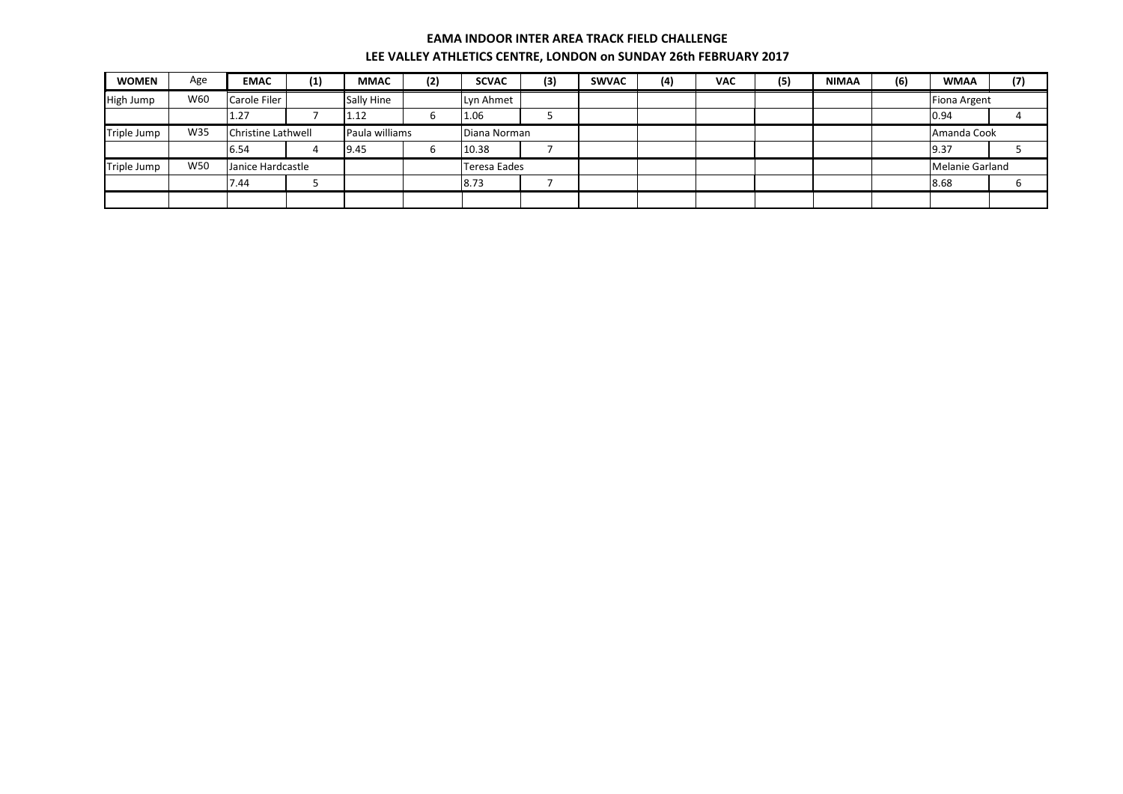| <b>WOMEN</b> | Age | <b>EMAC</b>               | (1) | <b>MMAC</b>    | (2) | <b>SCVAC</b>        | (3) | <b>SWVAC</b> | (4) | <b>VAC</b> | (5) | <b>NIMAA</b> | (6) | <b>WMAA</b>         | (7) |
|--------------|-----|---------------------------|-----|----------------|-----|---------------------|-----|--------------|-----|------------|-----|--------------|-----|---------------------|-----|
| High Jump    | W60 | Carole Filer              |     | Sally Hine     |     | Lyn Ahmet           |     |              |     |            |     |              |     | <b>Fiona Argent</b> |     |
|              |     | 1.27                      |     | 1.12           | h   | 1.06                |     |              |     |            |     |              |     | 0.94                |     |
| Triple Jump  | W35 | <b>Christine Lathwell</b> |     | Paula williams |     | Diana Norman        |     |              |     |            |     |              |     | Amanda Cook         |     |
|              |     | 6.54                      |     | 9.45           |     | 10.38               |     |              |     |            |     |              |     | 9.37                |     |
| Triple Jump  | W50 | Janice Hardcastle         |     |                |     | <b>Teresa Eades</b> |     |              |     |            |     |              |     | Melanie Garland     |     |
|              |     | 7.44                      |     |                |     | 8.73                |     |              |     |            |     |              |     | 8.68                |     |
|              |     |                           |     |                |     |                     |     |              |     |            |     |              |     |                     |     |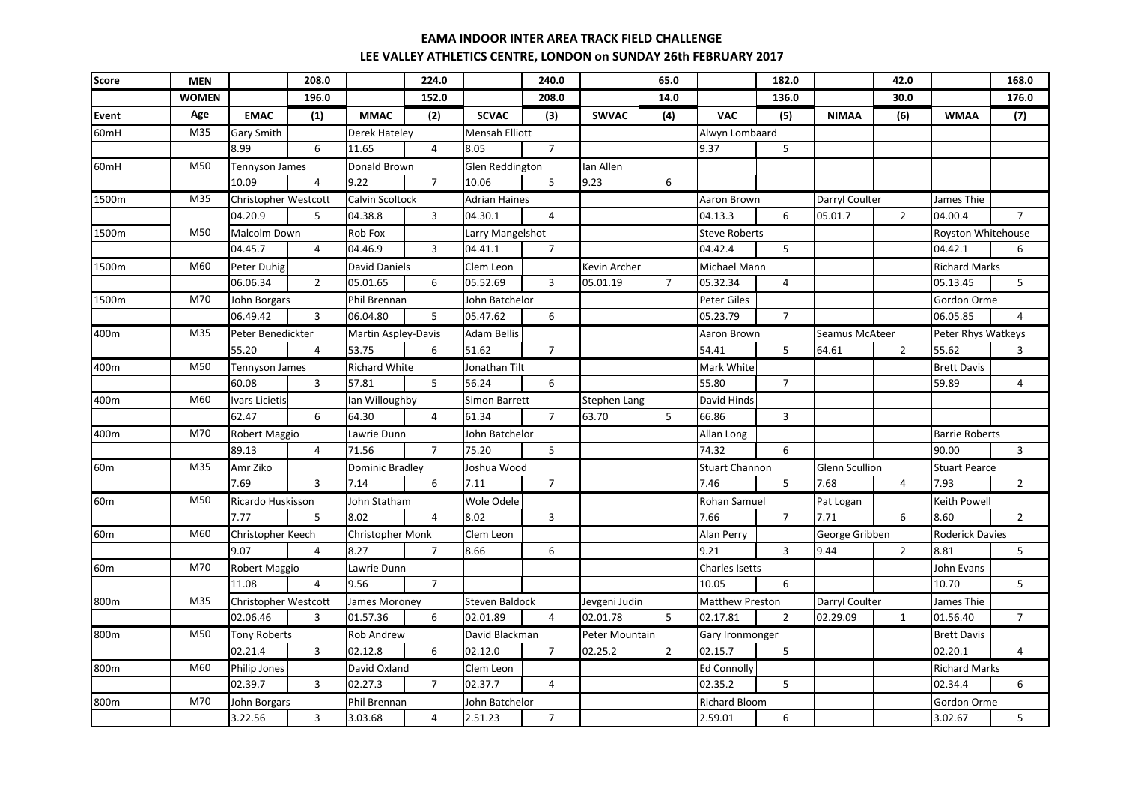| <b>Score</b>     | <b>MEN</b>   |                             | 208.0          |                            | 224.0          |                       | 240.0          |                     | 65.0           |                        | 182.0          |                | 42.0           |                        | 168.0          |
|------------------|--------------|-----------------------------|----------------|----------------------------|----------------|-----------------------|----------------|---------------------|----------------|------------------------|----------------|----------------|----------------|------------------------|----------------|
|                  | <b>WOMEN</b> |                             | 196.0          |                            | 152.0          |                       | 208.0          |                     | 14.0           |                        | 136.0          |                | 30.0           |                        | 176.0          |
| Event            | Age          | <b>EMAC</b>                 | (1)            | <b>MMAC</b>                | (2)            | <b>SCVAC</b>          | (3)            | <b>SWVAC</b>        | (4)            | <b>VAC</b>             | (5)            | <b>NIMAA</b>   | (6)            | <b>WMAA</b>            | (7)            |
| 60 <sub>mH</sub> | M35          | <b>Gary Smith</b>           |                | Derek Hateley              |                | <b>Mensah Elliott</b> |                |                     |                | Alwyn Lombaard         |                |                |                |                        |                |
|                  |              | 8.99                        | 6              | 11.65                      | $\overline{4}$ | 8.05                  | $\overline{7}$ |                     |                | 9.37                   | 5              |                |                |                        |                |
| 60mH             | M50          | <b>Tennyson James</b>       |                | Donald Brown               |                | Glen Reddington       |                | Ian Allen           |                |                        |                |                |                |                        |                |
|                  |              | 10.09                       | $\overline{4}$ | 9.22                       | $\overline{7}$ | 10.06                 | 5              | 9.23                | 6              |                        |                |                |                |                        |                |
| 1500m            | M35          | Christopher Westcott        |                | Calvin Scoltock            |                | <b>Adrian Haines</b>  |                |                     |                | Aaron Brown            |                | Darryl Coulter |                | James Thie             |                |
|                  |              | 04.20.9                     | 5              | 04.38.8                    | $\overline{3}$ | 04.30.1               | $\overline{4}$ |                     |                | 04.13.3                | 6              | 05.01.7        | $\overline{2}$ | 04.00.4                | $\overline{7}$ |
| 1500m            | M50          | <b>Malcolm Down</b>         |                | Rob Fox                    |                | Larry Mangelshot      |                |                     |                | <b>Steve Roberts</b>   |                |                |                | Royston Whitehouse     |                |
|                  |              | 04.45.7                     | $\overline{4}$ | 04.46.9                    | 3              | 04.41.1               | $\overline{7}$ |                     |                | 04.42.4                | 5              |                |                | 04.42.1                | 6              |
| 1500m            | M60          | Peter Duhig                 |                | David Daniels              |                | Clem Leon             |                | Kevin Archer        |                | Michael Mann           |                |                |                | <b>Richard Marks</b>   |                |
|                  |              | 06.06.34                    | 2              | 05.01.65                   | 6              | 05.52.69              | $\overline{3}$ | 05.01.19            | $\overline{7}$ | 05.32.34               | $\overline{4}$ |                |                | 05.13.45               | 5              |
| 1500m            | M70          | John Borgars                |                | <b>Phil Brennan</b>        |                | John Batchelor        |                |                     |                | Peter Giles            |                |                |                | Gordon Orme            |                |
|                  |              | 06.49.42                    | $\mathbf{3}$   | 06.04.80                   | 5              | 05.47.62              | 6              |                     |                | 05.23.79               | $\overline{7}$ |                |                | 06.05.85               | 4              |
| 400m             | M35          | Peter Benedickter           |                | <b>Martin Aspley-Davis</b> |                | <b>Adam Bellis</b>    |                |                     |                | <b>Aaron Brown</b>     |                | Seamus McAteer |                | Peter Rhys Watkeys     |                |
|                  |              | 55.20                       | 4              | 53.75                      | 6              | 51.62                 | $\overline{7}$ |                     |                | 54.41                  | 5              | 64.61          | $\overline{2}$ | 55.62                  | 3              |
| 400m             | M50          | Tennyson James              |                | <b>Richard White</b>       |                | Jonathan Tilt         |                |                     |                | Mark White             |                |                |                | <b>Brett Davis</b>     |                |
|                  |              | 60.08                       | 3              | 57.81                      | 5              | 56.24                 | 6              |                     |                | 55.80                  | $\overline{7}$ |                |                | 59.89                  | 4              |
| 400m             | M60          | <b>Ivars Licietis</b>       |                | lan Willoughby             |                | <b>Simon Barrett</b>  |                | <b>Stephen Lang</b> |                | David Hinds            |                |                |                |                        |                |
|                  |              | 62.47                       | 6              | 64.30                      | $\overline{4}$ | 61.34                 | $\overline{7}$ | 63.70               | 5              | 66.86                  | 3              |                |                |                        |                |
| 400m             | M70          | Robert Maggio               |                | awrie Dunn                 |                | John Batchelor        |                |                     |                | Allan Long             |                |                |                | <b>Barrie Roberts</b>  |                |
|                  |              | 89.13                       | $\overline{4}$ | 71.56                      | $\overline{7}$ | 75.20                 | 5              |                     |                | 74.32                  | 6              |                |                | 90.00                  | $\overline{3}$ |
| 60 <sub>m</sub>  | M35          | Amr Ziko                    |                | Dominic Bradley            |                | Joshua Wood           |                |                     |                | <b>Stuart Channon</b>  |                | Glenn Scullion |                | <b>Stuart Pearce</b>   |                |
|                  |              | 7.69                        | $\mathbf{3}$   | 7.14                       | 6              | 7.11                  | $\overline{7}$ |                     |                | 7.46                   | 5              | 7.68           | $\overline{4}$ | 7.93                   | $\overline{2}$ |
| 60 <sub>m</sub>  | M50          | Ricardo Huskisson           |                | John Statham               |                | Wole Odele            |                |                     |                | Rohan Samuel           |                | Pat Logan      |                | Keith Powell           |                |
|                  |              | 7.77                        | 5              | 8.02                       | $\overline{4}$ | 8.02                  | $\mathbf{3}$   |                     |                | 7.66                   | $\overline{7}$ | 7.71           | 6              | 8.60                   | $\overline{2}$ |
| 60 <sub>m</sub>  | M60          | Christopher Keech           |                | <b>Christopher Monk</b>    |                | Clem Leon             |                |                     |                | Alan Perry             |                | George Gribben |                | <b>Roderick Davies</b> |                |
|                  |              | 9.07                        | $\overline{4}$ | 8.27                       | $\overline{7}$ | 8.66                  | 6              |                     |                | 9.21                   | 3              | 9.44           | $\overline{2}$ | 8.81                   | 5              |
| 60 <sub>m</sub>  | M70          | Robert Maggio               |                | Lawrie Dunn                |                |                       |                |                     |                | <b>Charles Isetts</b>  |                |                |                | John Evans             |                |
|                  |              | 11.08                       | $\overline{4}$ | 9.56                       | $7^{\circ}$    |                       |                |                     |                | 10.05                  | 6              |                |                | 10.70                  | 5              |
| 800m             | M35          | <b>Christopher Westcott</b> |                | James Moroney              |                | Steven Baldock        |                | Jevgeni Judin       |                | <b>Matthew Preston</b> |                | Darryl Coulter |                | James Thie             |                |
|                  |              | 02.06.46                    | $\overline{3}$ | 01.57.36                   | 6              | 02.01.89              | $\overline{4}$ | 02.01.78            | 5 <sup>1</sup> | 02.17.81               | $\overline{2}$ | 02.29.09       | $\mathbf{1}$   | 01.56.40               | $\overline{7}$ |
| 800m             | M50          | <b>Tony Roberts</b>         |                | Rob Andrew                 |                | David Blackman        |                | Peter Mountain      |                | Gary Ironmonger        |                |                |                | <b>Brett Davis</b>     |                |
|                  |              | 02.21.4                     | $\overline{3}$ | 02.12.8                    | 6              | 02.12.0               | $\overline{7}$ | 02.25.2             | $\overline{2}$ | 02.15.7                | 5              |                |                | 02.20.1                | $\overline{4}$ |
| 800m             | M60          | Philip Jones                |                | David Oxland               |                | Clem Leon             |                |                     |                | <b>Ed Connolly</b>     |                |                |                | <b>Richard Marks</b>   |                |
|                  |              | 02.39.7                     | $\overline{3}$ | 02.27.3                    | $\overline{7}$ | 02.37.7               | $\overline{4}$ |                     |                | 02.35.2                | 5              |                |                | 02.34.4                | 6              |
| 800m             | M70          | John Borgars                |                | Phil Brennan               |                | John Batchelor        |                |                     |                | <b>Richard Bloom</b>   |                |                |                | Gordon Orme            |                |
|                  |              | 3.22.56                     | $\overline{3}$ | 3.03.68                    | $\overline{4}$ | 2.51.23               | $\overline{7}$ |                     |                | 2.59.01                | 6              |                |                | 3.02.67                | 5              |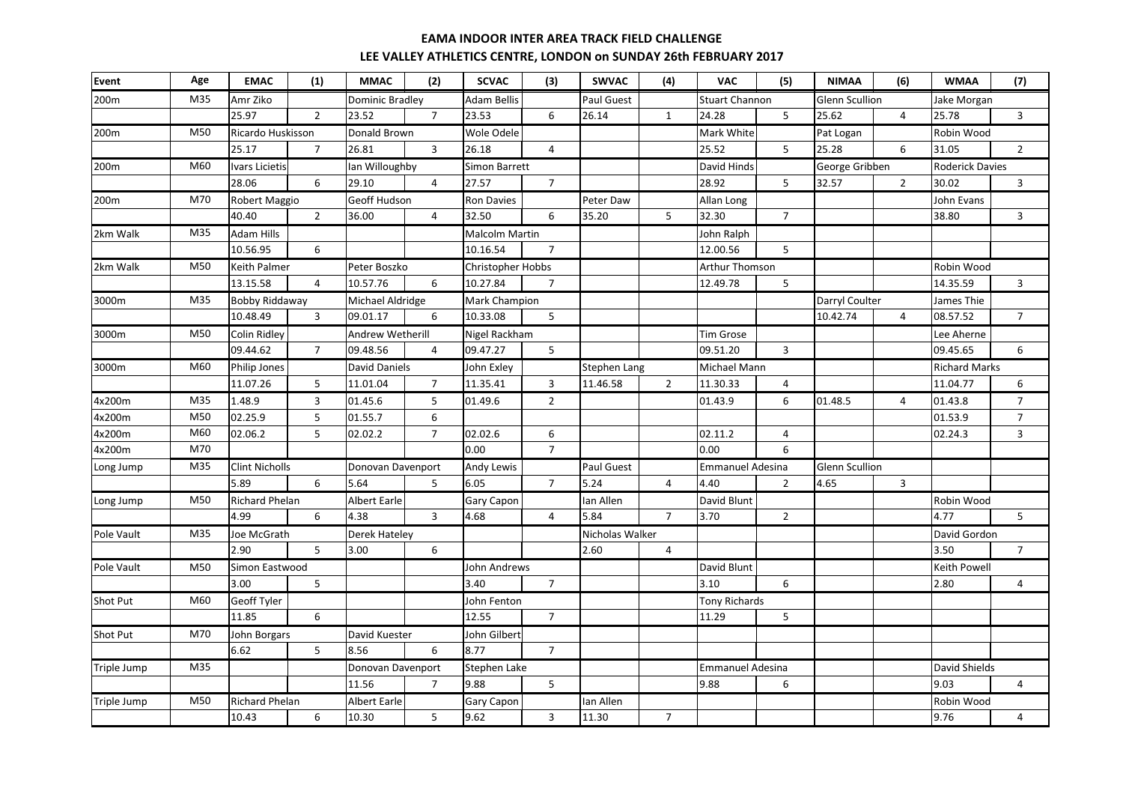| M35<br>200m<br>Amr Ziko<br>Dominic Bradley<br><b>Adam Bellis</b><br>Paul Guest<br><b>Stuart Channon</b><br>Glenn Scullion<br>Jake Morgan<br>$\overline{7}$<br>5<br>25.97<br>$\overline{2}$<br>23.52<br>23.53<br>6<br>26.14<br>$\mathbf{1}$<br>24.28<br>25.62<br>$\overline{4}$<br>$\overline{3}$<br>25.78<br>M50<br>Ricardo Huskisson<br>Donald Brown<br>Wole Odele<br>Mark White<br>Robin Wood<br>200m<br>Pat Logan<br>$\overline{7}$<br>25.52<br>5<br>25.17<br>26.81<br>$\overline{3}$<br>26.18<br>25.28<br>6<br>31.05<br>$\overline{2}$<br>4<br>M60<br>lan Willoughby<br>David Hinds<br><b>Roderick Davies</b><br>200m<br><b>Ivars Licietis</b><br>Simon Barrett<br>George Gribben<br>$\overline{7}$<br>5<br>6<br>29.10<br>$\overline{4}$<br>27.57<br>28.92<br>32.57<br>$\overline{2}$<br>28.06<br>30.02<br>3<br>M70<br><b>Geoff Hudson</b><br>Peter Daw<br>Robert Maggio<br><b>Ron Davies</b><br>Allan Long<br>John Evans<br>200m<br>$\overline{2}$<br>6<br>35.20<br>5<br>$\overline{7}$<br>$\overline{\mathbf{3}}$<br>40.40<br>36.00<br>$\overline{4}$<br>32.50<br>32.30<br>38.80<br>M35<br>2km Walk<br><b>Adam Hills</b><br><b>Malcolm Martin</b><br>John Ralph<br>10.56.95<br>6<br>10.16.54<br>$\overline{7}$<br>12.00.56<br>5<br>M50<br>2km Walk<br><b>Keith Palmer</b><br><b>Christopher Hobbs</b><br>Robin Wood<br>Peter Boszko<br><b>Arthur Thomson</b><br>5<br>13.15.58<br>$\overline{4}$<br>10.57.76<br>6<br>10.27.84<br>$\overline{7}$<br>12.49.78<br>14.35.59<br>$\mathbf{3}$<br>M35<br><b>Bobby Riddaway</b><br>Mark Champion<br>Darryl Coulter<br>3000m<br>Michael Aldridge<br>James Thie<br>10.48.49<br>09.01.17<br>6<br>10.33.08<br>5<br>10.42.74<br>08.57.52<br>$\overline{7}$<br>3<br>4<br>3000m<br><b>Colin Ridley</b><br>Andrew Wetherill<br>Nigel Rackham<br>M50<br><b>Tim Grose</b><br>Lee Aherne<br>09.44.62<br>$\overline{7}$<br>09.48.56<br>09.47.27<br>5<br>09.51.20<br>$\overline{3}$<br>09.45.65<br>6<br>$\overline{4}$<br>M60<br><b>David Daniels</b><br>John Exley<br><b>Stephen Lang</b><br>Michael Mann<br>3000m<br><b>Philip Jones</b><br><b>Richard Marks</b><br>$\overline{7}$<br>5<br>11.01.04<br>$\overline{3}$<br>11.46.58<br>$\overline{2}$<br>$\overline{4}$<br>6<br>11.07.26<br>11.35.41<br>11.30.33<br>11.04.77<br>M35<br>4x200m<br>1.48.9<br>$\overline{3}$<br>01.45.6<br>01.49.6<br>$\overline{2}$<br>01.43.9<br>6<br>01.48.5<br>01.43.8<br>$\overline{7}$<br>5<br>$\overline{4}$<br>4x200m<br>M50<br>02.25.9<br>01.53.9<br>$\overline{7}$<br>5<br>01.55.7<br>6<br>M60<br>5<br>$\overline{7}$<br>$\overline{3}$<br>4x200m<br>02.06.2<br>02.02.2<br>02.02.6<br>6<br>02.11.2<br>4<br>02.24.3<br>$\overline{7}$<br>M70<br>0.00<br>0.00<br>6<br>4x200m<br>M35<br><b>Andy Lewis</b><br>Paul Guest<br><b>Emmanuel Adesina</b><br>Long Jump<br><b>Clint Nicholls</b><br>Donovan Davenport<br>Glenn Scullion<br>$\overline{7}$<br>5.89<br>6<br>5.64<br>6.05<br>5.24<br>3<br>5<br>$\overline{4}$<br>4.40<br>$\overline{2}$<br>4.65<br>David Blunt<br>M50<br><b>Richard Phelan</b><br><b>Albert Earle</b><br><b>Gary Capon</b><br>Ian Allen<br>Robin Wood<br>Long Jump<br>6<br>$\overline{3}$<br>5.84<br>$\overline{7}$<br>$\overline{2}$<br>5<br>4.99<br>4.38<br>4.68<br>$\overline{4}$<br>3.70<br>4.77<br>M35<br>Nicholas Walker<br>Pole Vault<br>Joe McGrath<br><b>Derek Hateley</b><br>David Gordon<br>$\overline{7}$<br>2.90<br>5<br>3.00<br>6<br>2.60<br>$\overline{4}$<br>3.50<br>Pole Vault<br>Simon Eastwood<br>John Andrews<br>David Blunt<br>Keith Powell<br>M50<br>3.00<br>5<br>3.40<br>$\overline{7}$<br>3.10<br>6<br>2.80<br>$\overline{4}$<br>M60<br><b>Geoff Tyler</b><br>Shot Put<br>John Fenton<br>Tony Richards<br>$\overline{7}$<br>11.85<br>6<br>12.55<br>5<br>11.29<br>M70<br>Shot Put<br>David Kuester<br>John Gilbert<br>John Borgars<br>5<br>$\overline{7}$<br>6.62<br>8.56<br>6<br>8.77<br>M35<br>David Shields<br>Triple Jump<br>Donovan Davenport<br>Stephen Lake<br><b>Emmanuel Adesina</b><br>5<br>11.56<br>9.03<br>$\overline{7}$<br>9.88<br>9.88<br>6<br>4<br>M50<br>Triple Jump<br><b>Richard Phelan</b><br>Albert Earle<br>Ian Allen<br>Robin Wood<br><b>Gary Capon</b><br>5<br>9.62<br>$\overline{3}$<br>11.30<br>$\overline{7}$<br>10.43<br>6<br>10.30<br>9.76<br>4 | <b>Event</b> | Age | <b>EMAC</b> | (1) | <b>MMAC</b> | (2) | <b>SCVAC</b> | (3) | <b>SWVAC</b> | (4) | <b>VAC</b> | (5) | <b>NIMAA</b> | (6) | <b>WMAA</b> | (7) |
|----------------------------------------------------------------------------------------------------------------------------------------------------------------------------------------------------------------------------------------------------------------------------------------------------------------------------------------------------------------------------------------------------------------------------------------------------------------------------------------------------------------------------------------------------------------------------------------------------------------------------------------------------------------------------------------------------------------------------------------------------------------------------------------------------------------------------------------------------------------------------------------------------------------------------------------------------------------------------------------------------------------------------------------------------------------------------------------------------------------------------------------------------------------------------------------------------------------------------------------------------------------------------------------------------------------------------------------------------------------------------------------------------------------------------------------------------------------------------------------------------------------------------------------------------------------------------------------------------------------------------------------------------------------------------------------------------------------------------------------------------------------------------------------------------------------------------------------------------------------------------------------------------------------------------------------------------------------------------------------------------------------------------------------------------------------------------------------------------------------------------------------------------------------------------------------------------------------------------------------------------------------------------------------------------------------------------------------------------------------------------------------------------------------------------------------------------------------------------------------------------------------------------------------------------------------------------------------------------------------------------------------------------------------------------------------------------------------------------------------------------------------------------------------------------------------------------------------------------------------------------------------------------------------------------------------------------------------------------------------------------------------------------------------------------------------------------------------------------------------------------------------------------------------------------------------------------------------------------------------------------------------------------------------------------------------------------------------------------------------------------------------------------------------------------------------------------------------------------------------------------------------------------------------------------------------------------------------------------------------------------------------------------------------------------------------------------------------------------------------------------------------------------------------------------------------------------------------------------------------------------------------------------------------------------------------------------------------------------------------------------------------------------------------------------------------------------------------------------------------------------------------------------------------------------------------------------------------------------------------------|--------------|-----|-------------|-----|-------------|-----|--------------|-----|--------------|-----|------------|-----|--------------|-----|-------------|-----|
|                                                                                                                                                                                                                                                                                                                                                                                                                                                                                                                                                                                                                                                                                                                                                                                                                                                                                                                                                                                                                                                                                                                                                                                                                                                                                                                                                                                                                                                                                                                                                                                                                                                                                                                                                                                                                                                                                                                                                                                                                                                                                                                                                                                                                                                                                                                                                                                                                                                                                                                                                                                                                                                                                                                                                                                                                                                                                                                                                                                                                                                                                                                                                                                                                                                                                                                                                                                                                                                                                                                                                                                                                                                                                                                                                                                                                                                                                                                                                                                                                                                                                                                                                                                                                                              |              |     |             |     |             |     |              |     |              |     |            |     |              |     |             |     |
|                                                                                                                                                                                                                                                                                                                                                                                                                                                                                                                                                                                                                                                                                                                                                                                                                                                                                                                                                                                                                                                                                                                                                                                                                                                                                                                                                                                                                                                                                                                                                                                                                                                                                                                                                                                                                                                                                                                                                                                                                                                                                                                                                                                                                                                                                                                                                                                                                                                                                                                                                                                                                                                                                                                                                                                                                                                                                                                                                                                                                                                                                                                                                                                                                                                                                                                                                                                                                                                                                                                                                                                                                                                                                                                                                                                                                                                                                                                                                                                                                                                                                                                                                                                                                                              |              |     |             |     |             |     |              |     |              |     |            |     |              |     |             |     |
|                                                                                                                                                                                                                                                                                                                                                                                                                                                                                                                                                                                                                                                                                                                                                                                                                                                                                                                                                                                                                                                                                                                                                                                                                                                                                                                                                                                                                                                                                                                                                                                                                                                                                                                                                                                                                                                                                                                                                                                                                                                                                                                                                                                                                                                                                                                                                                                                                                                                                                                                                                                                                                                                                                                                                                                                                                                                                                                                                                                                                                                                                                                                                                                                                                                                                                                                                                                                                                                                                                                                                                                                                                                                                                                                                                                                                                                                                                                                                                                                                                                                                                                                                                                                                                              |              |     |             |     |             |     |              |     |              |     |            |     |              |     |             |     |
|                                                                                                                                                                                                                                                                                                                                                                                                                                                                                                                                                                                                                                                                                                                                                                                                                                                                                                                                                                                                                                                                                                                                                                                                                                                                                                                                                                                                                                                                                                                                                                                                                                                                                                                                                                                                                                                                                                                                                                                                                                                                                                                                                                                                                                                                                                                                                                                                                                                                                                                                                                                                                                                                                                                                                                                                                                                                                                                                                                                                                                                                                                                                                                                                                                                                                                                                                                                                                                                                                                                                                                                                                                                                                                                                                                                                                                                                                                                                                                                                                                                                                                                                                                                                                                              |              |     |             |     |             |     |              |     |              |     |            |     |              |     |             |     |
|                                                                                                                                                                                                                                                                                                                                                                                                                                                                                                                                                                                                                                                                                                                                                                                                                                                                                                                                                                                                                                                                                                                                                                                                                                                                                                                                                                                                                                                                                                                                                                                                                                                                                                                                                                                                                                                                                                                                                                                                                                                                                                                                                                                                                                                                                                                                                                                                                                                                                                                                                                                                                                                                                                                                                                                                                                                                                                                                                                                                                                                                                                                                                                                                                                                                                                                                                                                                                                                                                                                                                                                                                                                                                                                                                                                                                                                                                                                                                                                                                                                                                                                                                                                                                                              |              |     |             |     |             |     |              |     |              |     |            |     |              |     |             |     |
|                                                                                                                                                                                                                                                                                                                                                                                                                                                                                                                                                                                                                                                                                                                                                                                                                                                                                                                                                                                                                                                                                                                                                                                                                                                                                                                                                                                                                                                                                                                                                                                                                                                                                                                                                                                                                                                                                                                                                                                                                                                                                                                                                                                                                                                                                                                                                                                                                                                                                                                                                                                                                                                                                                                                                                                                                                                                                                                                                                                                                                                                                                                                                                                                                                                                                                                                                                                                                                                                                                                                                                                                                                                                                                                                                                                                                                                                                                                                                                                                                                                                                                                                                                                                                                              |              |     |             |     |             |     |              |     |              |     |            |     |              |     |             |     |
|                                                                                                                                                                                                                                                                                                                                                                                                                                                                                                                                                                                                                                                                                                                                                                                                                                                                                                                                                                                                                                                                                                                                                                                                                                                                                                                                                                                                                                                                                                                                                                                                                                                                                                                                                                                                                                                                                                                                                                                                                                                                                                                                                                                                                                                                                                                                                                                                                                                                                                                                                                                                                                                                                                                                                                                                                                                                                                                                                                                                                                                                                                                                                                                                                                                                                                                                                                                                                                                                                                                                                                                                                                                                                                                                                                                                                                                                                                                                                                                                                                                                                                                                                                                                                                              |              |     |             |     |             |     |              |     |              |     |            |     |              |     |             |     |
|                                                                                                                                                                                                                                                                                                                                                                                                                                                                                                                                                                                                                                                                                                                                                                                                                                                                                                                                                                                                                                                                                                                                                                                                                                                                                                                                                                                                                                                                                                                                                                                                                                                                                                                                                                                                                                                                                                                                                                                                                                                                                                                                                                                                                                                                                                                                                                                                                                                                                                                                                                                                                                                                                                                                                                                                                                                                                                                                                                                                                                                                                                                                                                                                                                                                                                                                                                                                                                                                                                                                                                                                                                                                                                                                                                                                                                                                                                                                                                                                                                                                                                                                                                                                                                              |              |     |             |     |             |     |              |     |              |     |            |     |              |     |             |     |
|                                                                                                                                                                                                                                                                                                                                                                                                                                                                                                                                                                                                                                                                                                                                                                                                                                                                                                                                                                                                                                                                                                                                                                                                                                                                                                                                                                                                                                                                                                                                                                                                                                                                                                                                                                                                                                                                                                                                                                                                                                                                                                                                                                                                                                                                                                                                                                                                                                                                                                                                                                                                                                                                                                                                                                                                                                                                                                                                                                                                                                                                                                                                                                                                                                                                                                                                                                                                                                                                                                                                                                                                                                                                                                                                                                                                                                                                                                                                                                                                                                                                                                                                                                                                                                              |              |     |             |     |             |     |              |     |              |     |            |     |              |     |             |     |
|                                                                                                                                                                                                                                                                                                                                                                                                                                                                                                                                                                                                                                                                                                                                                                                                                                                                                                                                                                                                                                                                                                                                                                                                                                                                                                                                                                                                                                                                                                                                                                                                                                                                                                                                                                                                                                                                                                                                                                                                                                                                                                                                                                                                                                                                                                                                                                                                                                                                                                                                                                                                                                                                                                                                                                                                                                                                                                                                                                                                                                                                                                                                                                                                                                                                                                                                                                                                                                                                                                                                                                                                                                                                                                                                                                                                                                                                                                                                                                                                                                                                                                                                                                                                                                              |              |     |             |     |             |     |              |     |              |     |            |     |              |     |             |     |
|                                                                                                                                                                                                                                                                                                                                                                                                                                                                                                                                                                                                                                                                                                                                                                                                                                                                                                                                                                                                                                                                                                                                                                                                                                                                                                                                                                                                                                                                                                                                                                                                                                                                                                                                                                                                                                                                                                                                                                                                                                                                                                                                                                                                                                                                                                                                                                                                                                                                                                                                                                                                                                                                                                                                                                                                                                                                                                                                                                                                                                                                                                                                                                                                                                                                                                                                                                                                                                                                                                                                                                                                                                                                                                                                                                                                                                                                                                                                                                                                                                                                                                                                                                                                                                              |              |     |             |     |             |     |              |     |              |     |            |     |              |     |             |     |
|                                                                                                                                                                                                                                                                                                                                                                                                                                                                                                                                                                                                                                                                                                                                                                                                                                                                                                                                                                                                                                                                                                                                                                                                                                                                                                                                                                                                                                                                                                                                                                                                                                                                                                                                                                                                                                                                                                                                                                                                                                                                                                                                                                                                                                                                                                                                                                                                                                                                                                                                                                                                                                                                                                                                                                                                                                                                                                                                                                                                                                                                                                                                                                                                                                                                                                                                                                                                                                                                                                                                                                                                                                                                                                                                                                                                                                                                                                                                                                                                                                                                                                                                                                                                                                              |              |     |             |     |             |     |              |     |              |     |            |     |              |     |             |     |
|                                                                                                                                                                                                                                                                                                                                                                                                                                                                                                                                                                                                                                                                                                                                                                                                                                                                                                                                                                                                                                                                                                                                                                                                                                                                                                                                                                                                                                                                                                                                                                                                                                                                                                                                                                                                                                                                                                                                                                                                                                                                                                                                                                                                                                                                                                                                                                                                                                                                                                                                                                                                                                                                                                                                                                                                                                                                                                                                                                                                                                                                                                                                                                                                                                                                                                                                                                                                                                                                                                                                                                                                                                                                                                                                                                                                                                                                                                                                                                                                                                                                                                                                                                                                                                              |              |     |             |     |             |     |              |     |              |     |            |     |              |     |             |     |
|                                                                                                                                                                                                                                                                                                                                                                                                                                                                                                                                                                                                                                                                                                                                                                                                                                                                                                                                                                                                                                                                                                                                                                                                                                                                                                                                                                                                                                                                                                                                                                                                                                                                                                                                                                                                                                                                                                                                                                                                                                                                                                                                                                                                                                                                                                                                                                                                                                                                                                                                                                                                                                                                                                                                                                                                                                                                                                                                                                                                                                                                                                                                                                                                                                                                                                                                                                                                                                                                                                                                                                                                                                                                                                                                                                                                                                                                                                                                                                                                                                                                                                                                                                                                                                              |              |     |             |     |             |     |              |     |              |     |            |     |              |     |             |     |
|                                                                                                                                                                                                                                                                                                                                                                                                                                                                                                                                                                                                                                                                                                                                                                                                                                                                                                                                                                                                                                                                                                                                                                                                                                                                                                                                                                                                                                                                                                                                                                                                                                                                                                                                                                                                                                                                                                                                                                                                                                                                                                                                                                                                                                                                                                                                                                                                                                                                                                                                                                                                                                                                                                                                                                                                                                                                                                                                                                                                                                                                                                                                                                                                                                                                                                                                                                                                                                                                                                                                                                                                                                                                                                                                                                                                                                                                                                                                                                                                                                                                                                                                                                                                                                              |              |     |             |     |             |     |              |     |              |     |            |     |              |     |             |     |
|                                                                                                                                                                                                                                                                                                                                                                                                                                                                                                                                                                                                                                                                                                                                                                                                                                                                                                                                                                                                                                                                                                                                                                                                                                                                                                                                                                                                                                                                                                                                                                                                                                                                                                                                                                                                                                                                                                                                                                                                                                                                                                                                                                                                                                                                                                                                                                                                                                                                                                                                                                                                                                                                                                                                                                                                                                                                                                                                                                                                                                                                                                                                                                                                                                                                                                                                                                                                                                                                                                                                                                                                                                                                                                                                                                                                                                                                                                                                                                                                                                                                                                                                                                                                                                              |              |     |             |     |             |     |              |     |              |     |            |     |              |     |             |     |
|                                                                                                                                                                                                                                                                                                                                                                                                                                                                                                                                                                                                                                                                                                                                                                                                                                                                                                                                                                                                                                                                                                                                                                                                                                                                                                                                                                                                                                                                                                                                                                                                                                                                                                                                                                                                                                                                                                                                                                                                                                                                                                                                                                                                                                                                                                                                                                                                                                                                                                                                                                                                                                                                                                                                                                                                                                                                                                                                                                                                                                                                                                                                                                                                                                                                                                                                                                                                                                                                                                                                                                                                                                                                                                                                                                                                                                                                                                                                                                                                                                                                                                                                                                                                                                              |              |     |             |     |             |     |              |     |              |     |            |     |              |     |             |     |
|                                                                                                                                                                                                                                                                                                                                                                                                                                                                                                                                                                                                                                                                                                                                                                                                                                                                                                                                                                                                                                                                                                                                                                                                                                                                                                                                                                                                                                                                                                                                                                                                                                                                                                                                                                                                                                                                                                                                                                                                                                                                                                                                                                                                                                                                                                                                                                                                                                                                                                                                                                                                                                                                                                                                                                                                                                                                                                                                                                                                                                                                                                                                                                                                                                                                                                                                                                                                                                                                                                                                                                                                                                                                                                                                                                                                                                                                                                                                                                                                                                                                                                                                                                                                                                              |              |     |             |     |             |     |              |     |              |     |            |     |              |     |             |     |
|                                                                                                                                                                                                                                                                                                                                                                                                                                                                                                                                                                                                                                                                                                                                                                                                                                                                                                                                                                                                                                                                                                                                                                                                                                                                                                                                                                                                                                                                                                                                                                                                                                                                                                                                                                                                                                                                                                                                                                                                                                                                                                                                                                                                                                                                                                                                                                                                                                                                                                                                                                                                                                                                                                                                                                                                                                                                                                                                                                                                                                                                                                                                                                                                                                                                                                                                                                                                                                                                                                                                                                                                                                                                                                                                                                                                                                                                                                                                                                                                                                                                                                                                                                                                                                              |              |     |             |     |             |     |              |     |              |     |            |     |              |     |             |     |
|                                                                                                                                                                                                                                                                                                                                                                                                                                                                                                                                                                                                                                                                                                                                                                                                                                                                                                                                                                                                                                                                                                                                                                                                                                                                                                                                                                                                                                                                                                                                                                                                                                                                                                                                                                                                                                                                                                                                                                                                                                                                                                                                                                                                                                                                                                                                                                                                                                                                                                                                                                                                                                                                                                                                                                                                                                                                                                                                                                                                                                                                                                                                                                                                                                                                                                                                                                                                                                                                                                                                                                                                                                                                                                                                                                                                                                                                                                                                                                                                                                                                                                                                                                                                                                              |              |     |             |     |             |     |              |     |              |     |            |     |              |     |             |     |
|                                                                                                                                                                                                                                                                                                                                                                                                                                                                                                                                                                                                                                                                                                                                                                                                                                                                                                                                                                                                                                                                                                                                                                                                                                                                                                                                                                                                                                                                                                                                                                                                                                                                                                                                                                                                                                                                                                                                                                                                                                                                                                                                                                                                                                                                                                                                                                                                                                                                                                                                                                                                                                                                                                                                                                                                                                                                                                                                                                                                                                                                                                                                                                                                                                                                                                                                                                                                                                                                                                                                                                                                                                                                                                                                                                                                                                                                                                                                                                                                                                                                                                                                                                                                                                              |              |     |             |     |             |     |              |     |              |     |            |     |              |     |             |     |
|                                                                                                                                                                                                                                                                                                                                                                                                                                                                                                                                                                                                                                                                                                                                                                                                                                                                                                                                                                                                                                                                                                                                                                                                                                                                                                                                                                                                                                                                                                                                                                                                                                                                                                                                                                                                                                                                                                                                                                                                                                                                                                                                                                                                                                                                                                                                                                                                                                                                                                                                                                                                                                                                                                                                                                                                                                                                                                                                                                                                                                                                                                                                                                                                                                                                                                                                                                                                                                                                                                                                                                                                                                                                                                                                                                                                                                                                                                                                                                                                                                                                                                                                                                                                                                              |              |     |             |     |             |     |              |     |              |     |            |     |              |     |             |     |
|                                                                                                                                                                                                                                                                                                                                                                                                                                                                                                                                                                                                                                                                                                                                                                                                                                                                                                                                                                                                                                                                                                                                                                                                                                                                                                                                                                                                                                                                                                                                                                                                                                                                                                                                                                                                                                                                                                                                                                                                                                                                                                                                                                                                                                                                                                                                                                                                                                                                                                                                                                                                                                                                                                                                                                                                                                                                                                                                                                                                                                                                                                                                                                                                                                                                                                                                                                                                                                                                                                                                                                                                                                                                                                                                                                                                                                                                                                                                                                                                                                                                                                                                                                                                                                              |              |     |             |     |             |     |              |     |              |     |            |     |              |     |             |     |
|                                                                                                                                                                                                                                                                                                                                                                                                                                                                                                                                                                                                                                                                                                                                                                                                                                                                                                                                                                                                                                                                                                                                                                                                                                                                                                                                                                                                                                                                                                                                                                                                                                                                                                                                                                                                                                                                                                                                                                                                                                                                                                                                                                                                                                                                                                                                                                                                                                                                                                                                                                                                                                                                                                                                                                                                                                                                                                                                                                                                                                                                                                                                                                                                                                                                                                                                                                                                                                                                                                                                                                                                                                                                                                                                                                                                                                                                                                                                                                                                                                                                                                                                                                                                                                              |              |     |             |     |             |     |              |     |              |     |            |     |              |     |             |     |
|                                                                                                                                                                                                                                                                                                                                                                                                                                                                                                                                                                                                                                                                                                                                                                                                                                                                                                                                                                                                                                                                                                                                                                                                                                                                                                                                                                                                                                                                                                                                                                                                                                                                                                                                                                                                                                                                                                                                                                                                                                                                                                                                                                                                                                                                                                                                                                                                                                                                                                                                                                                                                                                                                                                                                                                                                                                                                                                                                                                                                                                                                                                                                                                                                                                                                                                                                                                                                                                                                                                                                                                                                                                                                                                                                                                                                                                                                                                                                                                                                                                                                                                                                                                                                                              |              |     |             |     |             |     |              |     |              |     |            |     |              |     |             |     |
|                                                                                                                                                                                                                                                                                                                                                                                                                                                                                                                                                                                                                                                                                                                                                                                                                                                                                                                                                                                                                                                                                                                                                                                                                                                                                                                                                                                                                                                                                                                                                                                                                                                                                                                                                                                                                                                                                                                                                                                                                                                                                                                                                                                                                                                                                                                                                                                                                                                                                                                                                                                                                                                                                                                                                                                                                                                                                                                                                                                                                                                                                                                                                                                                                                                                                                                                                                                                                                                                                                                                                                                                                                                                                                                                                                                                                                                                                                                                                                                                                                                                                                                                                                                                                                              |              |     |             |     |             |     |              |     |              |     |            |     |              |     |             |     |
|                                                                                                                                                                                                                                                                                                                                                                                                                                                                                                                                                                                                                                                                                                                                                                                                                                                                                                                                                                                                                                                                                                                                                                                                                                                                                                                                                                                                                                                                                                                                                                                                                                                                                                                                                                                                                                                                                                                                                                                                                                                                                                                                                                                                                                                                                                                                                                                                                                                                                                                                                                                                                                                                                                                                                                                                                                                                                                                                                                                                                                                                                                                                                                                                                                                                                                                                                                                                                                                                                                                                                                                                                                                                                                                                                                                                                                                                                                                                                                                                                                                                                                                                                                                                                                              |              |     |             |     |             |     |              |     |              |     |            |     |              |     |             |     |
|                                                                                                                                                                                                                                                                                                                                                                                                                                                                                                                                                                                                                                                                                                                                                                                                                                                                                                                                                                                                                                                                                                                                                                                                                                                                                                                                                                                                                                                                                                                                                                                                                                                                                                                                                                                                                                                                                                                                                                                                                                                                                                                                                                                                                                                                                                                                                                                                                                                                                                                                                                                                                                                                                                                                                                                                                                                                                                                                                                                                                                                                                                                                                                                                                                                                                                                                                                                                                                                                                                                                                                                                                                                                                                                                                                                                                                                                                                                                                                                                                                                                                                                                                                                                                                              |              |     |             |     |             |     |              |     |              |     |            |     |              |     |             |     |
|                                                                                                                                                                                                                                                                                                                                                                                                                                                                                                                                                                                                                                                                                                                                                                                                                                                                                                                                                                                                                                                                                                                                                                                                                                                                                                                                                                                                                                                                                                                                                                                                                                                                                                                                                                                                                                                                                                                                                                                                                                                                                                                                                                                                                                                                                                                                                                                                                                                                                                                                                                                                                                                                                                                                                                                                                                                                                                                                                                                                                                                                                                                                                                                                                                                                                                                                                                                                                                                                                                                                                                                                                                                                                                                                                                                                                                                                                                                                                                                                                                                                                                                                                                                                                                              |              |     |             |     |             |     |              |     |              |     |            |     |              |     |             |     |
|                                                                                                                                                                                                                                                                                                                                                                                                                                                                                                                                                                                                                                                                                                                                                                                                                                                                                                                                                                                                                                                                                                                                                                                                                                                                                                                                                                                                                                                                                                                                                                                                                                                                                                                                                                                                                                                                                                                                                                                                                                                                                                                                                                                                                                                                                                                                                                                                                                                                                                                                                                                                                                                                                                                                                                                                                                                                                                                                                                                                                                                                                                                                                                                                                                                                                                                                                                                                                                                                                                                                                                                                                                                                                                                                                                                                                                                                                                                                                                                                                                                                                                                                                                                                                                              |              |     |             |     |             |     |              |     |              |     |            |     |              |     |             |     |
|                                                                                                                                                                                                                                                                                                                                                                                                                                                                                                                                                                                                                                                                                                                                                                                                                                                                                                                                                                                                                                                                                                                                                                                                                                                                                                                                                                                                                                                                                                                                                                                                                                                                                                                                                                                                                                                                                                                                                                                                                                                                                                                                                                                                                                                                                                                                                                                                                                                                                                                                                                                                                                                                                                                                                                                                                                                                                                                                                                                                                                                                                                                                                                                                                                                                                                                                                                                                                                                                                                                                                                                                                                                                                                                                                                                                                                                                                                                                                                                                                                                                                                                                                                                                                                              |              |     |             |     |             |     |              |     |              |     |            |     |              |     |             |     |
|                                                                                                                                                                                                                                                                                                                                                                                                                                                                                                                                                                                                                                                                                                                                                                                                                                                                                                                                                                                                                                                                                                                                                                                                                                                                                                                                                                                                                                                                                                                                                                                                                                                                                                                                                                                                                                                                                                                                                                                                                                                                                                                                                                                                                                                                                                                                                                                                                                                                                                                                                                                                                                                                                                                                                                                                                                                                                                                                                                                                                                                                                                                                                                                                                                                                                                                                                                                                                                                                                                                                                                                                                                                                                                                                                                                                                                                                                                                                                                                                                                                                                                                                                                                                                                              |              |     |             |     |             |     |              |     |              |     |            |     |              |     |             |     |
|                                                                                                                                                                                                                                                                                                                                                                                                                                                                                                                                                                                                                                                                                                                                                                                                                                                                                                                                                                                                                                                                                                                                                                                                                                                                                                                                                                                                                                                                                                                                                                                                                                                                                                                                                                                                                                                                                                                                                                                                                                                                                                                                                                                                                                                                                                                                                                                                                                                                                                                                                                                                                                                                                                                                                                                                                                                                                                                                                                                                                                                                                                                                                                                                                                                                                                                                                                                                                                                                                                                                                                                                                                                                                                                                                                                                                                                                                                                                                                                                                                                                                                                                                                                                                                              |              |     |             |     |             |     |              |     |              |     |            |     |              |     |             |     |
|                                                                                                                                                                                                                                                                                                                                                                                                                                                                                                                                                                                                                                                                                                                                                                                                                                                                                                                                                                                                                                                                                                                                                                                                                                                                                                                                                                                                                                                                                                                                                                                                                                                                                                                                                                                                                                                                                                                                                                                                                                                                                                                                                                                                                                                                                                                                                                                                                                                                                                                                                                                                                                                                                                                                                                                                                                                                                                                                                                                                                                                                                                                                                                                                                                                                                                                                                                                                                                                                                                                                                                                                                                                                                                                                                                                                                                                                                                                                                                                                                                                                                                                                                                                                                                              |              |     |             |     |             |     |              |     |              |     |            |     |              |     |             |     |
|                                                                                                                                                                                                                                                                                                                                                                                                                                                                                                                                                                                                                                                                                                                                                                                                                                                                                                                                                                                                                                                                                                                                                                                                                                                                                                                                                                                                                                                                                                                                                                                                                                                                                                                                                                                                                                                                                                                                                                                                                                                                                                                                                                                                                                                                                                                                                                                                                                                                                                                                                                                                                                                                                                                                                                                                                                                                                                                                                                                                                                                                                                                                                                                                                                                                                                                                                                                                                                                                                                                                                                                                                                                                                                                                                                                                                                                                                                                                                                                                                                                                                                                                                                                                                                              |              |     |             |     |             |     |              |     |              |     |            |     |              |     |             |     |
|                                                                                                                                                                                                                                                                                                                                                                                                                                                                                                                                                                                                                                                                                                                                                                                                                                                                                                                                                                                                                                                                                                                                                                                                                                                                                                                                                                                                                                                                                                                                                                                                                                                                                                                                                                                                                                                                                                                                                                                                                                                                                                                                                                                                                                                                                                                                                                                                                                                                                                                                                                                                                                                                                                                                                                                                                                                                                                                                                                                                                                                                                                                                                                                                                                                                                                                                                                                                                                                                                                                                                                                                                                                                                                                                                                                                                                                                                                                                                                                                                                                                                                                                                                                                                                              |              |     |             |     |             |     |              |     |              |     |            |     |              |     |             |     |
|                                                                                                                                                                                                                                                                                                                                                                                                                                                                                                                                                                                                                                                                                                                                                                                                                                                                                                                                                                                                                                                                                                                                                                                                                                                                                                                                                                                                                                                                                                                                                                                                                                                                                                                                                                                                                                                                                                                                                                                                                                                                                                                                                                                                                                                                                                                                                                                                                                                                                                                                                                                                                                                                                                                                                                                                                                                                                                                                                                                                                                                                                                                                                                                                                                                                                                                                                                                                                                                                                                                                                                                                                                                                                                                                                                                                                                                                                                                                                                                                                                                                                                                                                                                                                                              |              |     |             |     |             |     |              |     |              |     |            |     |              |     |             |     |
|                                                                                                                                                                                                                                                                                                                                                                                                                                                                                                                                                                                                                                                                                                                                                                                                                                                                                                                                                                                                                                                                                                                                                                                                                                                                                                                                                                                                                                                                                                                                                                                                                                                                                                                                                                                                                                                                                                                                                                                                                                                                                                                                                                                                                                                                                                                                                                                                                                                                                                                                                                                                                                                                                                                                                                                                                                                                                                                                                                                                                                                                                                                                                                                                                                                                                                                                                                                                                                                                                                                                                                                                                                                                                                                                                                                                                                                                                                                                                                                                                                                                                                                                                                                                                                              |              |     |             |     |             |     |              |     |              |     |            |     |              |     |             |     |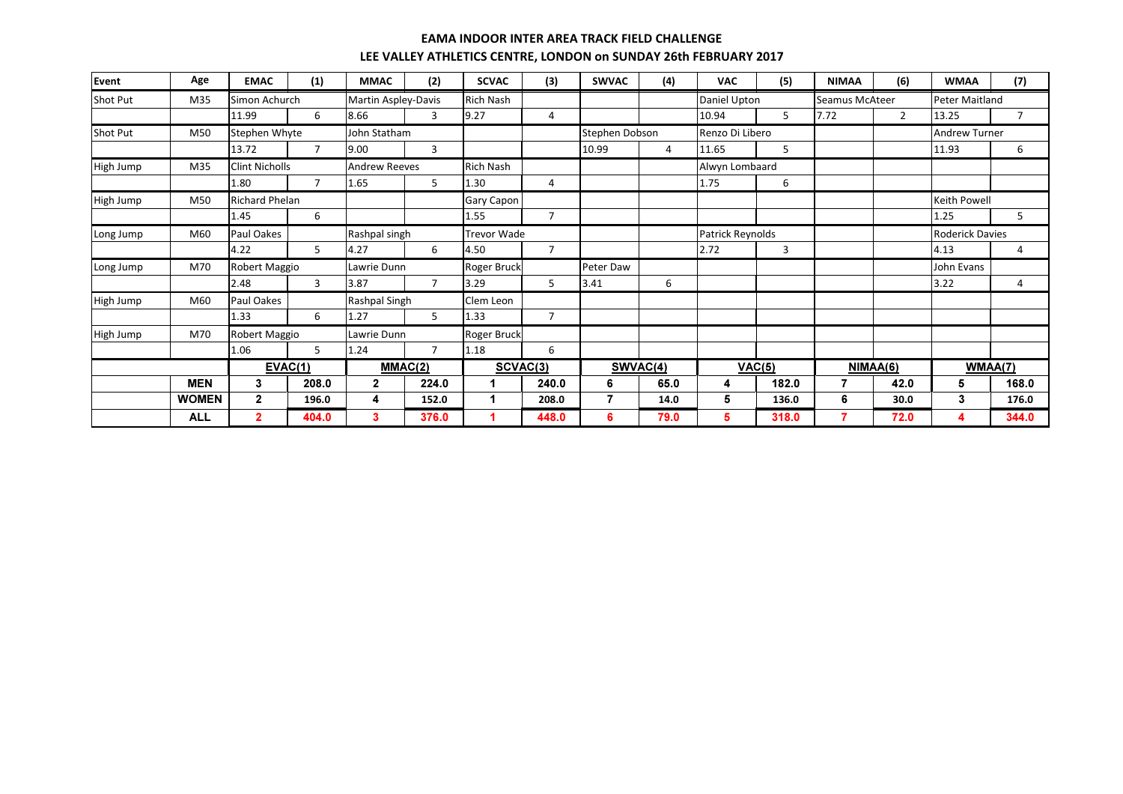| <b>Event</b>    | Age          | <b>EMAC</b>           | (1)            | <b>MMAC</b>          | (2)            | <b>SCVAC</b>       | (3)                  | <b>SWVAC</b>   | (4)      | <b>VAC</b>              | (5)    | <b>NIMAA</b>          | (6)            | <b>WMAA</b>            | (7)            |
|-----------------|--------------|-----------------------|----------------|----------------------|----------------|--------------------|----------------------|----------------|----------|-------------------------|--------|-----------------------|----------------|------------------------|----------------|
| <b>Shot Put</b> | M35          | Simon Achurch         |                | Martin Aspley-Davis  |                | <b>Rich Nash</b>   |                      |                |          | Daniel Upton            |        | <b>Seamus McAteer</b> |                | <b>Peter Maitland</b>  |                |
|                 |              | 11.99                 | 6              | 8.66                 | 3              | 9.27               | 4                    |                |          | 10.94                   | 5      | 7.72                  | $\overline{2}$ | 13.25                  | $\overline{7}$ |
| Shot Put        | M50          | Stephen Whyte         |                | John Statham         |                |                    |                      | Stephen Dobson |          | Renzo Di Libero         |        |                       |                | <b>Andrew Turner</b>   |                |
|                 |              | 13.72                 | $\overline{7}$ | 9.00                 | 3              |                    |                      | 10.99          | 4        | 11.65                   | 5      |                       |                | 11.93                  | 6              |
| High Jump       | M35          | <b>Clint Nicholls</b> |                | <b>Andrew Reeves</b> |                | <b>Rich Nash</b>   |                      |                |          | Alwyn Lombaard          |        |                       |                |                        |                |
|                 |              | 1.80                  | $\overline{7}$ | 1.65                 | 5              | 1.30               | 4                    |                |          | 1.75                    | 6      |                       |                |                        |                |
| High Jump       | M50          | <b>Richard Phelan</b> |                |                      |                | Gary Capon         |                      |                |          |                         |        |                       |                | <b>Keith Powell</b>    |                |
|                 |              | 1.45                  | 6              |                      |                | 1.55               | $\overline{7}$       |                |          |                         |        |                       |                | 1.25                   | 5              |
| Long Jump       | M60          | Paul Oakes            |                | Rashpal singh        |                | <b>Trevor Wade</b> |                      |                |          | <b>Patrick Reynolds</b> |        |                       |                | <b>Roderick Davies</b> |                |
|                 |              | 4.22                  | 5              | 4.27                 | 6              | 4.50               | $\overline{7}$       |                |          | 2.72                    | 3      |                       |                | 4.13                   | 4              |
| Long Jump       | M70          | Robert Maggio         |                | Lawrie Dunn          |                | <b>Roger Bruck</b> |                      | Peter Daw      |          |                         |        |                       |                | John Evans             |                |
|                 |              | 2.48                  | $\overline{3}$ | 3.87                 | $\overline{7}$ | 3.29               | 5                    | 3.41           | 6        |                         |        |                       |                | 3.22                   | 4              |
| High Jump       | M60          | Paul Oakes            |                | Rashpal Singh        |                | Clem Leon          |                      |                |          |                         |        |                       |                |                        |                |
|                 |              | 1.33                  | 6              | 1.27                 | 5              | 1.33               | $\overline{7}$       |                |          |                         |        |                       |                |                        |                |
| High Jump       | M70          | Robert Maggio         |                | Lawrie Dunn          |                | Roger Bruck        |                      |                |          |                         |        |                       |                |                        |                |
|                 |              | 1.06                  | 5              | 1.24                 | $\overline{7}$ | 1.18               | 6                    |                |          |                         |        |                       |                |                        |                |
|                 |              |                       | EVAC(1)        |                      | MMAC(2)        |                    | SCVAC <sub>(3)</sub> |                | SWVAC(4) |                         | VAC(5) |                       | NIMAA(6)       |                        | WMAA(7)        |
|                 | <b>MEN</b>   | 3                     | 208.0          | $\mathbf{2}$         | 224.0          |                    | 240.0                | 6              | 65.0     | 4                       | 182.0  |                       | 42.0           | 5                      | 168.0          |
|                 | <b>WOMEN</b> | $\mathbf{2}$          | 196.0          | 4                    | 152.0          |                    | 208.0                | 7              | 14.0     | 5                       | 136.0  | 6                     | 30.0           | 3                      | 176.0          |
|                 | <b>ALL</b>   | $\overline{2}$        | 404.0          | 3                    | 376.0          |                    | 448.0                | 6              | 79.0     | 5                       | 318.0  |                       | 72.0           | 4                      | 344.0          |